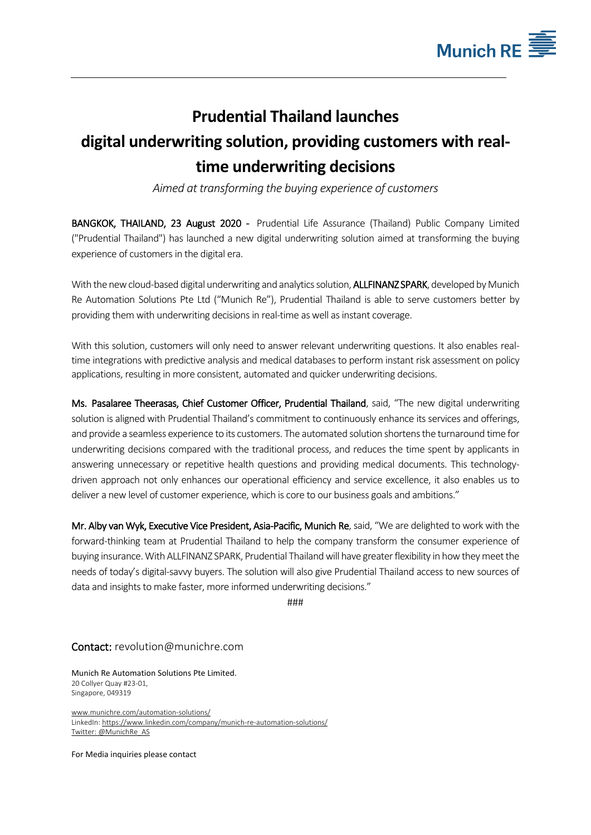

## **Prudential Thailand launches digital underwriting solution, providing customers with realtime underwriting decisions**

*Aimed at transforming the buying experience of customers*

BANGKOK, THAILAND, 23 August 2020 - Prudential Life Assurance (Thailand) Public Company Limited ("Prudential Thailand") has launched a new digital underwriting solution aimed at transforming the buying experience of customers in the digital era.

With the new cloud-based digital underwriting and analytics solution, **ALLFINANZ SPARK**, developed by Munich Re Automation Solutions Pte Ltd ("Munich Re"), Prudential Thailand is able to serve customers better by providing them with underwriting decisions in real-time as well as instant coverage.

With this solution, customers will only need to answer relevant underwriting questions. It also enables realtime integrations with predictive analysis and medical databases to perform instant risk assessment on policy applications, resulting in more consistent, automated and quicker underwriting decisions.

Ms. Pasalaree Theerasas, Chief Customer Officer, Prudential Thailand, said, "The new digital underwriting solution is aligned with Prudential Thailand's commitment to continuously enhance its services and offerings, and provide a seamless experience to its customers. The automated solution shortensthe turnaround time for underwriting decisions compared with the traditional process, and reduces the time spent by applicants in answering unnecessary or repetitive health questions and providing medical documents. This technologydriven approach not only enhances our operational efficiency and service excellence, it also enables us to deliver a new level of customer experience, which is core to our business goals and ambitions."

Mr. Alby van Wyk, Executive Vice President, Asia-Pacific, Munich Re, said, "We are delighted to work with the forward-thinking team at Prudential Thailand to help the company transform the consumer experience of buying insurance. With ALLFINANZ SPARK, Prudential Thailand will have greater flexibility in how they meet the needs of today's digital-savvy buyers. The solution will also give Prudential Thailand access to new sources of data and insights to make faster, more informed underwriting decisions."

###

Contact: [revolution@munichre.com](mailto:revolution@munichre.com)

Munich Re Automation Solutions Pte Limited. 20 Collyer Quay #23-01, Singapore, 049319

[www.munichre.com/automation-solutions/](https://www.munichre.com/automation-solutions/) LinkedIn[: https://www.linkedin.com/company/munich-re-automation-solutions/](https://www.linkedin.com/company/munich-re-automation-solutions/) [Twitter:](http://twitter.com/munichre) @MunichRe\_AS

For Media inquiries please contact